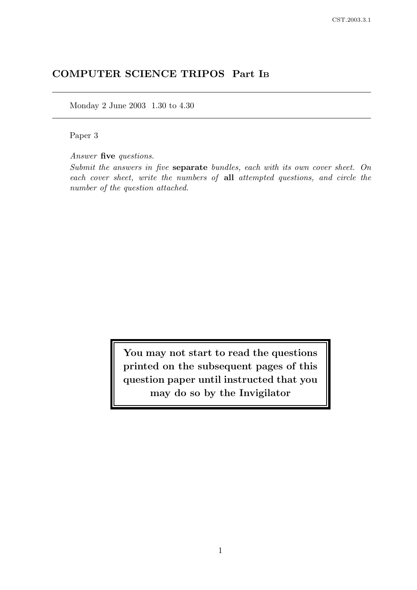# COMPUTER SCIENCE TRIPOS Part I<sup>B</sup>

Monday 2 June 2003 1.30 to 4.30

Paper 3

Answer five questions.

Submit the answers in five separate bundles, each with its own cover sheet. On each cover sheet, write the numbers of all attempted questions, and circle the number of the question attached.

> You may not start to read the questions printed on the subsequent pages of this question paper until instructed that you may do so by the Invigilator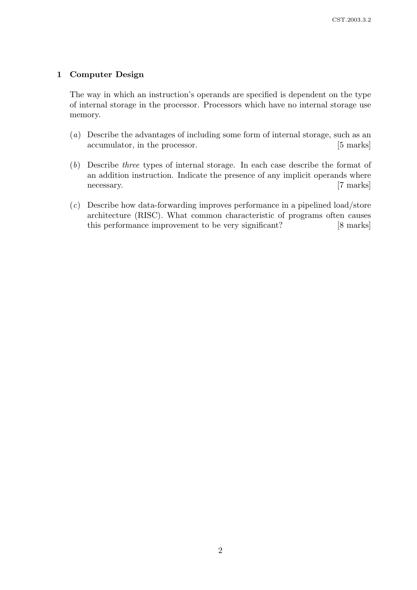### 1 Computer Design

The way in which an instruction's operands are specified is dependent on the type of internal storage in the processor. Processors which have no internal storage use memory.

- (a) Describe the advantages of including some form of internal storage, such as an accumulator, in the processor. [5 marks]
- (b) Describe three types of internal storage. In each case describe the format of an addition instruction. Indicate the presence of any implicit operands where necessary. [7 marks]
- (c) Describe how data-forwarding improves performance in a pipelined load/store architecture (RISC). What common characteristic of programs often causes this performance improvement to be very significant? [8 marks]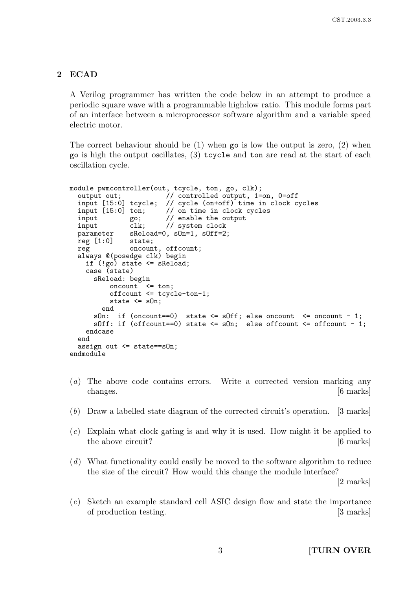# 2 ECAD

A Verilog programmer has written the code below in an attempt to produce a periodic square wave with a programmable high:low ratio. This module forms part of an interface between a microprocessor software algorithm and a variable speed electric motor.

The correct behaviour should be  $(1)$  when go is low the output is zero,  $(2)$  when go is high the output oscillates, (3) tcycle and ton are read at the start of each oscillation cycle.

```
module pwmcontroller(out, tcycle, ton, go, clk);<br>output out; // controlled output, 1=
                             // controlled output, 1=on, 0=off
  input [15:0] tcycle; // cycle (on+off) time in clock cycles<br>input [15:0] ton; // on time in clock cycles
  input [15:0] ton; // on time in clock cycles<br>input go; // enable the output
  input go; // enable the output<br>input clk; // system clock
  input clk; // system clock<br>parameter sReload=0, s0n=1, s0ff=2
                  sReload=0, sOn=1, sOff=2;
  reg [1:0] state;
  reg oncount, offcount;
  always @(posedge clk) begin
     if (!go) state <= sReload;
     case (state)
       sReload: begin
            oncount <= ton;
            offcount <= tcycle-ton-1;
            state <= s0n;
         end
       sOn: if (oncount==0) state \le sOff; else oncount \le oncount - 1;
       sOff: if (offcount==0) state \le sOn; else offcount \le offcount - 1;
    endcase
  end
  assign out <= state==sOn;
endmodule
```
- (a) The above code contains errors. Write a corrected version marking any changes. [6 marks]
- (b) Draw a labelled state diagram of the corrected circuit's operation. [3 marks]
- (c) Explain what clock gating is and why it is used. How might it be applied to the above circuit? [6 marks]
- (d) What functionality could easily be moved to the software algorithm to reduce the size of the circuit? How would this change the module interface?

[2 marks]

(e) Sketch an example standard cell ASIC design flow and state the importance of production testing. [3 marks]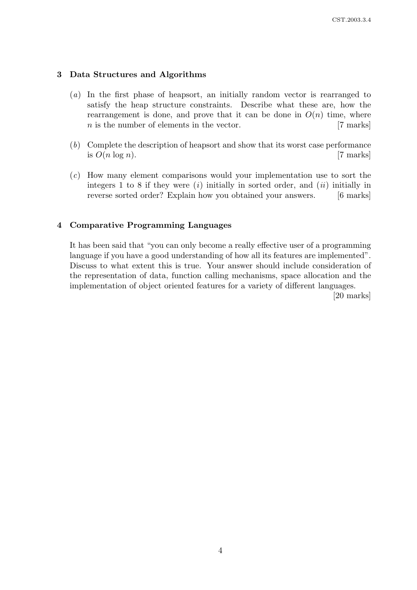# 3 Data Structures and Algorithms

- (a) In the first phase of heapsort, an initially random vector is rearranged to satisfy the heap structure constraints. Describe what these are, how the rearrangement is done, and prove that it can be done in  $O(n)$  time, where  $n$  is the number of elements in the vector. [7 marks]
- (b) Complete the description of heapsort and show that its worst case performance is  $O(n \log n)$ . [7 marks]
- (c) How many element comparisons would your implementation use to sort the integers 1 to 8 if they were  $(i)$  initially in sorted order, and  $(ii)$  initially in reverse sorted order? Explain how you obtained your answers. [6 marks]

### 4 Comparative Programming Languages

It has been said that "you can only become a really effective user of a programming language if you have a good understanding of how all its features are implemented". Discuss to what extent this is true. Your answer should include consideration of the representation of data, function calling mechanisms, space allocation and the implementation of object oriented features for a variety of different languages.

[20 marks]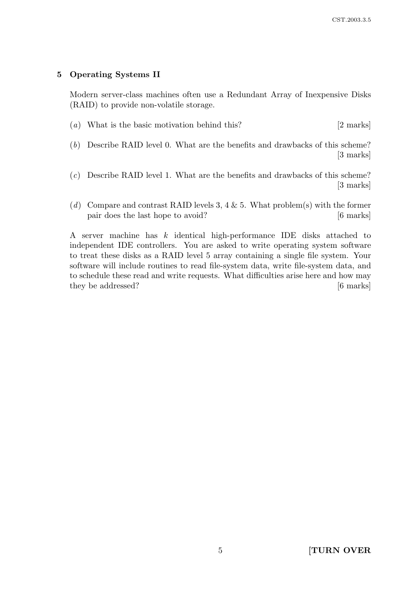### 5 Operating Systems II

Modern server-class machines often use a Redundant Array of Inexpensive Disks (RAID) to provide non-volatile storage.

- (a) What is the basic motivation behind this? [2 marks]
- (b) Describe RAID level 0. What are the benefits and drawbacks of this scheme? [3 marks]
- (c) Describe RAID level 1. What are the benefits and drawbacks of this scheme? [3 marks]
- (d) Compare and contrast RAID levels 3, 4  $\&$  5. What problem(s) with the former pair does the last hope to avoid? [6 marks]

A server machine has k identical high-performance IDE disks attached to independent IDE controllers. You are asked to write operating system software to treat these disks as a RAID level 5 array containing a single file system. Your software will include routines to read file-system data, write file-system data, and to schedule these read and write requests. What difficulties arise here and how may they be addressed? [6 marks]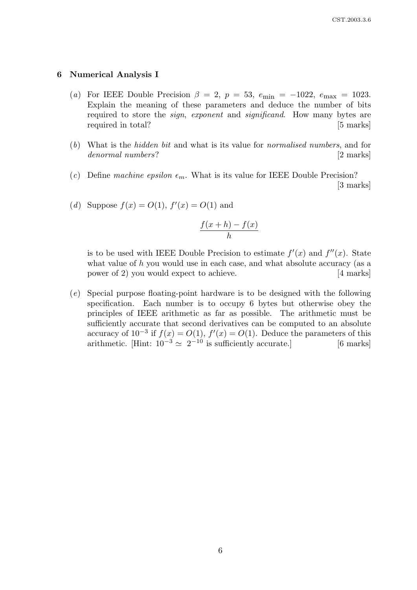#### 6 Numerical Analysis I

- (a) For IEEE Double Precision  $\beta = 2$ ,  $p = 53$ ,  $e_{\text{min}} = -1022$ ,  $e_{\text{max}} = 1023$ . Explain the meaning of these parameters and deduce the number of bits required to store the *sign, exponent* and *significand*. How many bytes are required in total? [5 marks]
- (b) What is the hidden bit and what is its value for normalised numbers, and for denormal numbers? [2 marks]
- (c) Define machine epsilon  $\epsilon_m$ . What is its value for IEEE Double Precision? [3 marks]
- (*d*) Suppose  $f(x) = O(1)$ ,  $f'(x) = O(1)$  and

$$
\frac{f(x+h) - f(x)}{h}
$$

is to be used with IEEE Double Precision to estimate  $f'(x)$  and  $f''(x)$ . State what value of  $h$  you would use in each case, and what absolute accuracy (as a power of 2) you would expect to achieve. [4 marks]

(e) Special purpose floating-point hardware is to be designed with the following specification. Each number is to occupy 6 bytes but otherwise obey the principles of IEEE arithmetic as far as possible. The arithmetic must be sufficiently accurate that second derivatives can be computed to an absolute accuracy of  $10^{-3}$  if  $f(x) = O(1)$ ,  $f'(x) = O(1)$ . Deduce the parameters of this arithmetic. [Hint:  $10^{-3} \simeq 2^{-10}$  is sufficiently accurate.] [6 marks]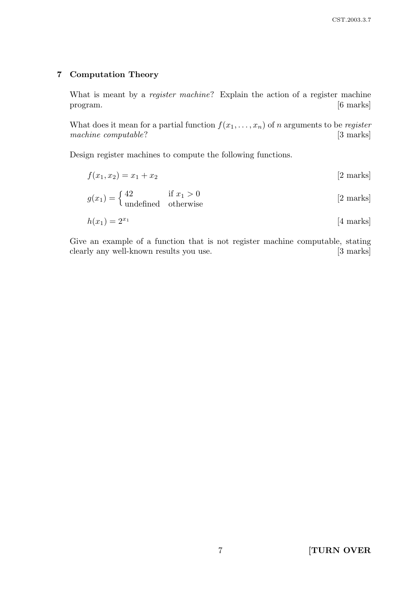# 7 Computation Theory

What is meant by a *register machine*? Explain the action of a register machine program. [6 marks]

What does it mean for a partial function  $f(x_1, \ldots, x_n)$  of n arguments to be *register* machine computable? [3 marks]

Design register machines to compute the following functions.

$$
f(x_1, x_2) = x_1 + x_2 \tag{2 marks}
$$

$$
g(x_1) = \begin{cases} 42 & \text{if } x_1 > 0\\ \text{undefined} & \text{otherwise} \end{cases}
$$
 [2 marks]

$$
h(x_1) = 2^{x_1} \tag{4 marks}
$$

Give an example of a function that is not register machine computable, stating clearly any well-known results you use. [3 marks]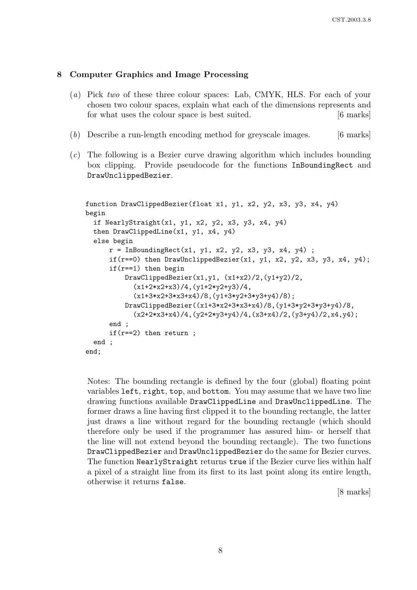### 8 Computer Graphics and Image Processing

- (a) Pick two of these three colour spaces: Lab, CMYK, HLS. For each of your chosen two colour spaces, explain what each of the dimensions represents and for what uses the colour space is best suited. [6 marks]
- (b) Describe a run-length encoding method for greyscale images. [6 marks]
- (c) The following is a Bezier curve drawing algorithm which includes bounding box clipping. Provide pseudocode for the functions InBoundingRect and DrawUnclippedBezier.

```
function DrawClippedBezier(float x1, y1, x2, y2, x3, y3, x4, y4)
begin
  if NearlyStraight(x1, y1, x2, y2, x3, y3, x4, y4)
  then DrawClippedLine(x1, y1, x4, y4)
  else begin
      r = InBoundingRect(x1, y1, x2, y2, x3, y3, x4, y4);
      if(r==0) then DrawUnclippedBezier(x1, y1, x2, y2, x3, y3, x4, y4);
      if(r==1) then begin
          DrawClippedBezier(x1,y1, (x1+x2)/2,(y1+y2)/2,
            (x1+2*x2+x3)/4,(y1+2*y2+y3)/4,
            (x1+3*x2+3*x3+x4)/8,(y1+3*y2+3*y3+y4)/8);
          DrawClippedBezier((x1+3*x2+3*x3+x4)/8,(y1+3*y2+3*y3+y4)/8,
            (x2+2*x3+x4)/4, (y2+2*y3+y4)/4, (x3+x4)/2, (y3+y4)/2, x4, y4);
      end ;
      if(r==2) then return ;
  end ;
end;
```
Notes: The bounding rectangle is defined by the four (global) floating point variables left, right, top, and bottom. You may assume that we have two line drawing functions available DrawClippedLine and DrawUnclippedLine. The former draws a line having first clipped it to the bounding rectangle, the latter just draws a line without regard for the bounding rectangle (which should therefore only be used if the programmer has assured him- or herself that the line will not extend beyond the bounding rectangle). The two functions DrawClippedBezier and DrawUnclippedBezier do the same for Bezier curves. The function NearlyStraight returns true if the Bezier curve lies within half a pixel of a straight line from its first to its last point along its entire length, otherwise it returns false.

[8 marks]